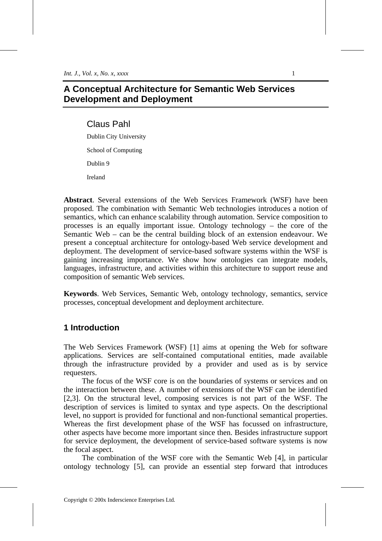# **A Conceptual Architecture for Semantic Web Services Development and Deployment**

# Claus Pahl

Dublin City University School of Computing Dublin 9 Ireland

**Abstract**. Several extensions of the Web Services Framework (WSF) have been proposed. The combination with Semantic Web technologies introduces a notion of semantics, which can enhance scalability through automation. Service composition to processes is an equally important issue. Ontology technology – the core of the Semantic Web – can be the central building block of an extension endeavour. We present a conceptual architecture for ontology-based Web service development and deployment. The development of service-based software systems within the WSF is gaining increasing importance. We show how ontologies can integrate models, languages, infrastructure, and activities within this architecture to support reuse and composition of semantic Web services.

**Keywords**. Web Services, Semantic Web, ontology technology, semantics, service processes, conceptual development and deployment architecture.

# **1 Introduction**

The Web Services Framework (WSF) [1] aims at opening the Web for software applications. Services are self-contained computational entities, made available through the infrastructure provided by a provider and used as is by service requesters.

The focus of the WSF core is on the boundaries of systems or services and on the interaction between these. A number of extensions of the WSF can be identified [2,3]. On the structural level, composing services is not part of the WSF. The description of services is limited to syntax and type aspects. On the descriptional level, no support is provided for functional and non-functional semantical properties. Whereas the first development phase of the WSF has focussed on infrastructure, other aspects have become more important since then. Besides infrastructure support for service deployment, the development of service-based software systems is now the focal aspect.

The combination of the WSF core with the Semantic Web [4], in particular ontology technology [5], can provide an essential step forward that introduces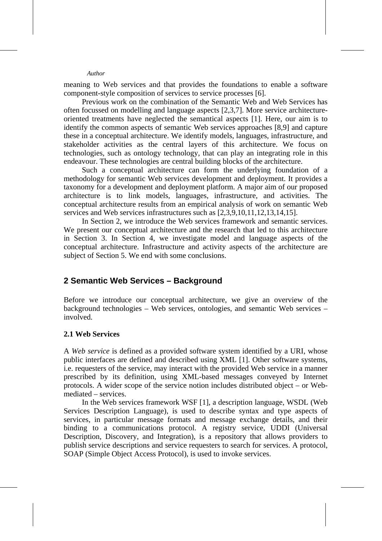meaning to Web services and that provides the foundations to enable a software component-style composition of services to service processes [6].

Previous work on the combination of the Semantic Web and Web Services has often focussed on modelling and language aspects [2,3,7]. More service architectureoriented treatments have neglected the semantical aspects [1]. Here, our aim is to identify the common aspects of semantic Web services approaches [8,9] and capture these in a conceptual architecture. We identify models, languages, infrastructure, and stakeholder activities as the central layers of this architecture. We focus on technologies, such as ontology technology, that can play an integrating role in this endeavour. These technologies are central building blocks of the architecture.

Such a conceptual architecture can form the underlying foundation of a methodology for semantic Web services development and deployment. It provides a taxonomy for a development and deployment platform. A major aim of our proposed architecture is to link models, languages, infrastructure, and activities. The conceptual architecture results from an empirical analysis of work on semantic Web services and Web services infrastructures such as [2,3,9,10,11,12,13,14,15].

In Section 2, we introduce the Web services framework and semantic services. We present our conceptual architecture and the research that led to this architecture in Section 3. In Section 4, we investigate model and language aspects of the conceptual architecture. Infrastructure and activity aspects of the architecture are subject of Section 5. We end with some conclusions.

# **2 Semantic Web Services – Background**

Before we introduce our conceptual architecture, we give an overview of the background technologies – Web services, ontologies, and semantic Web services – involved.

## **2.1 Web Services**

A *Web service* is defined as a provided software system identified by a URI, whose public interfaces are defined and described using XML [1]. Other software systems, i.e. requesters of the service, may interact with the provided Web service in a manner prescribed by its definition, using XML-based messages conveyed by Internet protocols. A wider scope of the service notion includes distributed object – or Webmediated – services.

In the Web services framework WSF [1], a description language, WSDL (Web Services Description Language), is used to describe syntax and type aspects of services, in particular message formats and message exchange details, and their binding to a communications protocol. A registry service, UDDI (Universal Description, Discovery, and Integration), is a repository that allows providers to publish service descriptions and service requesters to search for services. A protocol, SOAP (Simple Object Access Protocol), is used to invoke services.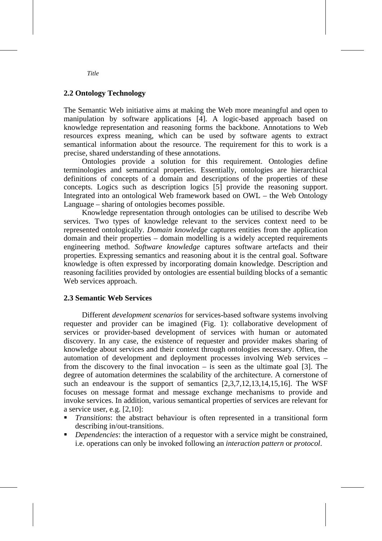## **2.2 Ontology Technology**

The Semantic Web initiative aims at making the Web more meaningful and open to manipulation by software applications [4]. A logic-based approach based on knowledge representation and reasoning forms the backbone. Annotations to Web resources express meaning, which can be used by software agents to extract semantical information about the resource. The requirement for this to work is a precise, shared understanding of these annotations.

Ontologies provide a solution for this requirement. Ontologies define terminologies and semantical properties. Essentially, ontologies are hierarchical definitions of concepts of a domain and descriptions of the properties of these concepts. Logics such as description logics [5] provide the reasoning support. Integrated into an ontological Web framework based on OWL – the Web Ontology Language – sharing of ontologies becomes possible.

Knowledge representation through ontologies can be utilised to describe Web services. Two types of knowledge relevant to the services context need to be represented ontologically. *Domain knowledge* captures entities from the application domain and their properties – domain modelling is a widely accepted requirements engineering method. *Software knowledge* captures software artefacts and their properties. Expressing semantics and reasoning about it is the central goal. Software knowledge is often expressed by incorporating domain knowledge. Description and reasoning facilities provided by ontologies are essential building blocks of a semantic Web services approach.

## **2.3 Semantic Web Services**

Different *development scenarios* for services-based software systems involving requester and provider can be imagined (Fig. 1): collaborative development of services or provider-based development of services with human or automated discovery. In any case, the existence of requester and provider makes sharing of knowledge about services and their context through ontologies necessary. Often, the automation of development and deployment processes involving Web services – from the discovery to the final invocation  $-$  is seen as the ultimate goal [3]. The degree of automation determines the scalability of the architecture. A cornerstone of such an endeavour is the support of semantics [2,3,7,12,13,14,15,16]. The WSF focuses on message format and message exchange mechanisms to provide and invoke services. In addition, various semantical properties of services are relevant for a service user, e.g. [2,10]:

- *Transitions*: the abstract behaviour is often represented in a transitional form describing in/out-transitions.
- *Dependencies*: the interaction of a requestor with a service might be constrained, i.e. operations can only be invoked following an *interaction pattern* or *protocol*.

*Title*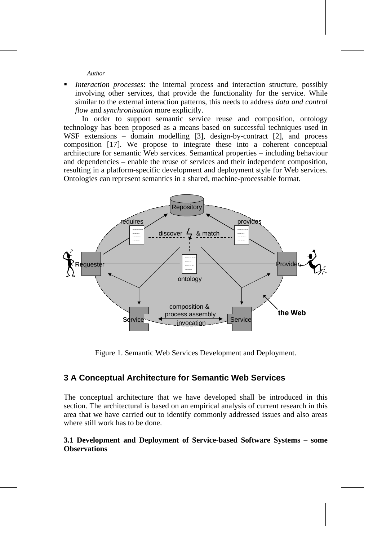*Interaction processes*: the internal process and interaction structure, possibly involving other services, that provide the functionality for the service. While similar to the external interaction patterns, this needs to address *data and control flow* and *synchronisation* more explicitly.

In order to support semantic service reuse and composition, ontology technology has been proposed as a means based on successful techniques used in WSF extensions – domain modelling [3], design-by-contract [2], and process composition [17]. We propose to integrate these into a coherent conceptual architecture for semantic Web services. Semantical properties – including behaviour and dependencies – enable the reuse of services and their independent composition, resulting in a platform-specific development and deployment style for Web services. Ontologies can represent semantics in a shared, machine-processable format.



Figure 1. Semantic Web Services Development and Deployment.

# **3 A Conceptual Architecture for Semantic Web Services**

The conceptual architecture that we have developed shall be introduced in this section. The architectural is based on an empirical analysis of current research in this area that we have carried out to identify commonly addressed issues and also areas where still work has to be done.

# **3.1 Development and Deployment of Service-based Software Systems – some Observations**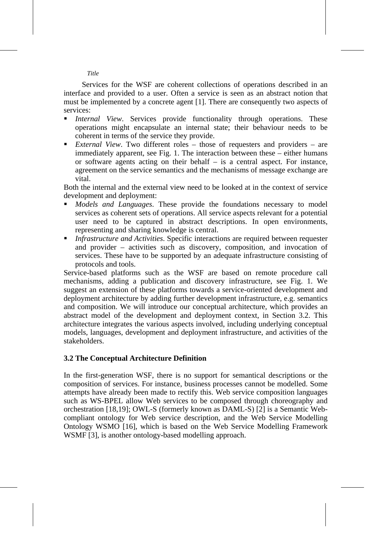Services for the WSF are coherent collections of operations described in an interface and provided to a user. Often a service is seen as an abstract notion that must be implemented by a concrete agent [1]. There are consequently two aspects of services:

- *Internal View*. Services provide functionality through operations. These operations might encapsulate an internal state; their behaviour needs to be coherent in terms of the service they provide.
- *External View*. Two different roles those of requesters and providers are immediately apparent, see Fig. 1. The interaction between these – either humans or software agents acting on their behalf – is a central aspect. For instance, agreement on the service semantics and the mechanisms of message exchange are vital.

Both the internal and the external view need to be looked at in the context of service development and deployment:

- *Models and Languages*. These provide the foundations necessary to model services as coherent sets of operations. All service aspects relevant for a potential user need to be captured in abstract descriptions. In open environments, representing and sharing knowledge is central.
- *Infrastructure and Activities*. Specific interactions are required between requester and provider – activities such as discovery, composition, and invocation of services. These have to be supported by an adequate infrastructure consisting of protocols and tools.

Service-based platforms such as the WSF are based on remote procedure call mechanisms, adding a publication and discovery infrastructure, see Fig. 1. We suggest an extension of these platforms towards a service-oriented development and deployment architecture by adding further development infrastructure, e.g. semantics and composition. We will introduce our conceptual architecture, which provides an abstract model of the development and deployment context, in Section 3.2. This architecture integrates the various aspects involved, including underlying conceptual models, languages, development and deployment infrastructure, and activities of the stakeholders.

## **3.2 The Conceptual Architecture Definition**

In the first-generation WSF, there is no support for semantical descriptions or the composition of services. For instance, business processes cannot be modelled. Some attempts have already been made to rectify this. Web service composition languages such as WS-BPEL allow Web services to be composed through choreography and orchestration [18,19]; OWL-S (formerly known as DAML-S) [2] is a Semantic Webcompliant ontology for Web service description, and the Web Service Modelling Ontology WSMO [16], which is based on the Web Service Modelling Framework WSMF [3], is another ontology-based modelling approach.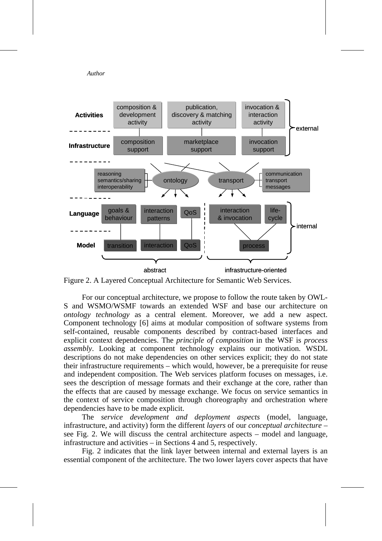

Figure 2. A Layered Conceptual Architecture for Semantic Web Services.

For our conceptual architecture, we propose to follow the route taken by OWL-S and WSMO/WSMF towards an extended WSF and base our architecture on *ontology technology* as a central element. Moreover, we add a new aspect. Component technology [6] aims at modular composition of software systems from self-contained, reusable components described by contract-based interfaces and explicit context dependencies. The *principle of composition* in the WSF is *process assembly*. Looking at component technology explains our motivation. WSDL descriptions do not make dependencies on other services explicit; they do not state their infrastructure requirements – which would, however, be a prerequisite for reuse and independent composition. The Web services platform focuses on messages, i.e. sees the description of message formats and their exchange at the core, rather than the effects that are caused by message exchange. We focus on service semantics in the context of service composition through choreography and orchestration where dependencies have to be made explicit.

The *service development and deployment aspects* (model, language, infrastructure, and activity) form the different *layers* of our *conceptual architecture* – see Fig. 2. We will discuss the central architecture aspects – model and language, infrastructure and activities – in Sections 4 and 5, respectively.

Fig. 2 indicates that the link layer between internal and external layers is an essential component of the architecture. The two lower layers cover aspects that have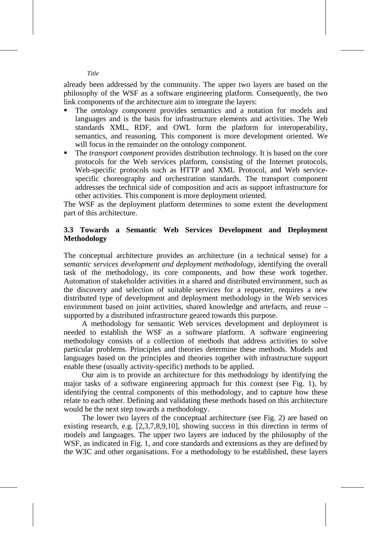already been addressed by the community. The upper two layers are based on the philosophy of the WSF as a software engineering platform. Consequently, the two link components of the architecture aim to integrate the layers:

- The *ontology component* provides semantics and a notation for models and languages and is the basis for infrastructure elements and activities. The Web standards XML, RDF, and OWL form the platform for interoperability, semantics, and reasoning. This component is more development oriented. We will focus in the remainder on the ontology component.
- The *transport component* provides distribution technology. It is based on the core protocols for the Web services platform, consisting of the Internet protocols, Web-specific protocols such as HTTP and XML Protocol, and Web servicespecific choreography and orchestration standards. The transport component addresses the technical side of composition and acts as support infrastructure for other activities. This component is more deployment oriented.

The WSF as the deployment platform determines to some extent the development part of this architecture.

## **3.3 Towards a Semantic Web Services Development and Deployment Methodology**

The conceptual architecture provides an architecture (in a technical sense) for a *semantic services development and deployment methodology*, identifying the overall task of the methodology, its core components, and how these work together. Automation of stakeholder activities in a shared and distributed environment, such as the discovery and selection of suitable services for a requester, requires a new distributed type of development and deployment methodology in the Web services environment based on joint activities, shared knowledge and artefacts, and reuse – supported by a distributed infrastructure geared towards this purpose.

A methodology for semantic Web services development and deployment is needed to establish the WSF as a software platform. A software engineering methodology consists of a collection of methods that address activities to solve particular problems. Principles and theories determine these methods. Models and languages based on the principles and theories together with infrastructure support enable these (usually activity-specific) methods to be applied.

Our aim is to provide an architecture for this methodology by identifying the major tasks of a software engineering approach for this context (see Fig. 1), by identifying the central components of this methodology, and to capture how these relate to each other. Defining and validating these methods based on this architecture would be the next step towards a methodology.

The lower two layers of the conceptual architecture (see Fig. 2) are based on existing research, e.g. [2,3,7,8,9,10], showing success in this direction in terms of models and languages. The upper two layers are induced by the philosophy of the WSF, as indicated in Fig. 1, and core standards and extensions as they are defined by the W3C and other organisations. For a methodology to be established, these layers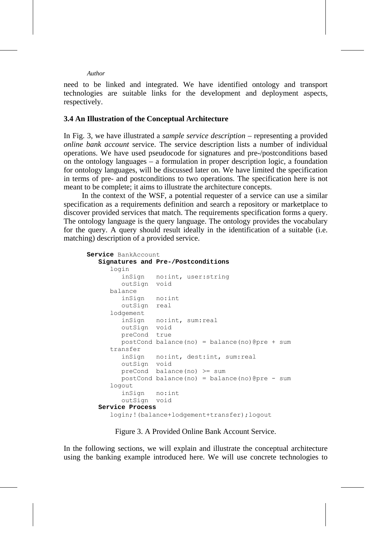need to be linked and integrated. We have identified ontology and transport technologies are suitable links for the development and deployment aspects, respectively.

### **3.4 An Illustration of the Conceptual Architecture**

In Fig. 3, we have illustrated a *sample service description* – representing a provided *online bank account* service. The service description lists a number of individual operations. We have used pseudocode for signatures and pre-/postconditions based on the ontology languages – a formulation in proper description logic, a foundation for ontology languages, will be discussed later on. We have limited the specification in terms of pre- and postconditions to two operations. The specification here is not meant to be complete; it aims to illustrate the architecture concepts.

In the context of the WSF, a potential requester of a service can use a similar specification as a requirements definition and search a repository or marketplace to discover provided services that match. The requirements specification forms a query. The ontology language is the query language. The ontology provides the vocabulary for the query. A query should result ideally in the identification of a suitable (i.e. matching) description of a provided service.

```
Service BankAccount
    Signatures and Pre-/Postconditions 
      login 
          inSign no:int, user:string 
          outSign void 
      balance 
          inSign no:int 
          outSign real 
      lodgement 
          inSign no:int, sum:real 
          outSign void 
          preCond true 
         postCond balance(no) = balance(no)@pre + sum
      transfer 
          inSign no:int, dest:int, sum:real 
          outSign void 
         \frac{1}{2} preCond balance(no) >= sum
         postCond balance(no) = balance(no)@pre - sum
      logout 
          inSign no:int 
       outSign v
oid 
    Service Process 
      login;!(balance+lodgement+transfer);logout
```
Figure 3. A Provided Online Bank Account Service.

In the following sections, we will explain and illustrate the conceptual architecture using the banking example introduced here. We will use concrete technologies to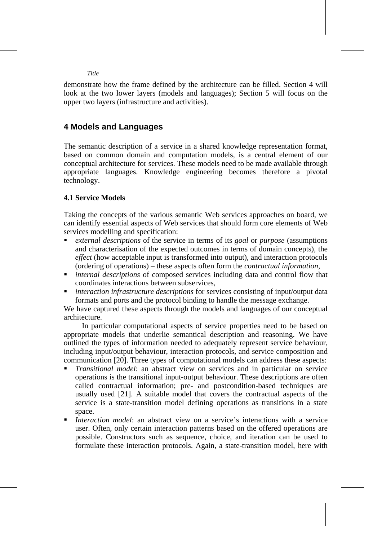demonstrate how the frame defined by the architecture can be filled. Section 4 will look at the two lower layers (models and languages); Section 5 will focus on the upper two layers (infrastructure and activities).

# **4 Models and Languages**

The semantic description of a service in a shared knowledge representation format, based on common domain and computation models, is a central element of our conceptual architecture for services. These models need to be made available through appropriate languages. Knowledge engineering becomes therefore a pivotal technology.

# **4.1 Service Models**

Taking the concepts of the various semantic Web services approaches on board, we can identify essential aspects of Web services that should form core elements of Web services modelling and specification:

- *external descriptions* of the service in terms of its *goal* or *purpose* (assumptions and characterisation of the expected outcomes in terms of domain concepts), the *effect* (how acceptable input is transformed into output), and interaction protocols (ordering of operations) – these aspects often form the *contractual information*,
- *internal descriptions* of composed services including data and control flow that coordinates interactions between subservices,
- *interaction infrastructure descriptions* for services consisting of input/output data formats and ports and the protocol binding to handle the message exchange.

We have captured these aspects through the models and languages of our conceptual architecture.

In particular computational aspects of service properties need to be based on appropriate models that underlie semantical description and reasoning. We have outlined the types of information needed to adequately represent service behaviour, including input/output behaviour, interaction protocols, and service composition and communication [20]. Three types of computational models can address these aspects:

- *Transitional model*: an abstract view on services and in particular on service operations is the transitional input-output behaviour. These descriptions are often called contractual information; pre- and postcondition-based techniques are usually used [21]. A suitable model that covers the contractual aspects of the service is a state-transition model defining operations as transitions in a state space.
- *Interaction model*: an abstract view on a service's interactions with a service user. Often, only certain interaction patterns based on the offered operations are possible. Constructors such as sequence, choice, and iteration can be used to formulate these interaction protocols. Again, a state-transition model, here with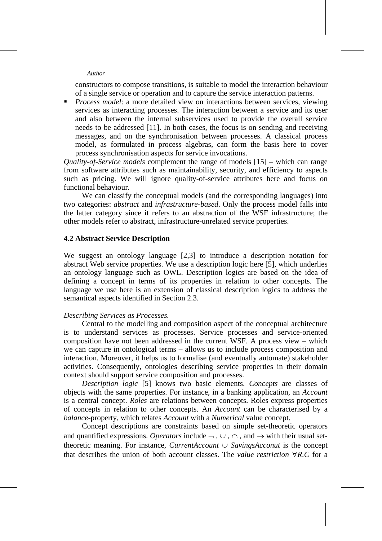constructors to compose transitions, is suitable to model the interaction behaviour of a single service or operation and to capture the service interaction patterns.

 *Process model*: a more detailed view on interactions between services, viewing services as interacting processes. The interaction between a service and its user and also between the internal subservices used to provide the overall service needs to be addressed [11]. In both cases, the focus is on sending and receiving messages, and on the synchronisation between processes. A classical process model, as formulated in process algebras, can form the basis here to cover process synchronisation aspects for service invocations.

*Quality-of-Service models* complement the range of models [15] – which can range from software attributes such as maintainability, security, and efficiency to aspects such as pricing. We will ignore quality-of-service attributes here and focus on functional behaviour.

We can classify the conceptual models (and the corresponding languages) into two categories: *abstract* and *infrastructure-based*. Only the process model falls into the latter category since it refers to an abstraction of the WSF infrastructure; the other models refer to abstract, infrastructure-unrelated service properties.

## **4.2 Abstract Service Description**

We suggest an ontology language [2,3] to introduce a description notation for abstract Web service properties. We use a description logic here [5], which underlies an ontology language such as OWL. Description logics are based on the idea of defining a concept in terms of its properties in relation to other concepts. The language we use here is an extension of classical description logics to address the semantical aspects identified in Section 2.3.

### *Describing Services as Processes.*

Central to the modelling and composition aspect of the conceptual architecture is to understand services as processes. Service processes and service-oriented composition have not been addressed in the current WSF. A process view – which we can capture in ontological terms – allows us to include process composition and interaction. Moreover, it helps us to formalise (and eventually automate) stakeholder activities. Consequently, ontologies describing service properties in their domain context should support service composition and processes.

*Description logic* [5] knows two basic elements. *Concepts* are classes of objects with the same properties. For instance, in a banking application, an *Account*  is a central concept. *Roles* are relations between concepts. Roles express properties of concepts in relation to other concepts. An *Account* can be characterised by a *balance*-property, which relates *Account* with a *Numerical* value concept.

Concept descriptions are constraints based on simple set-theoretic operators and quantified expressions. *Operators* include  $\neg$ ,  $\cup$ ,  $\cap$ , and  $\rightarrow$  with their usual settheoretic meaning. For instance, *CurrentAccount* ∪ *SavingsAcconut* is the concept that describes the union of both account classes. The *value restriction* ∀*R.C* for a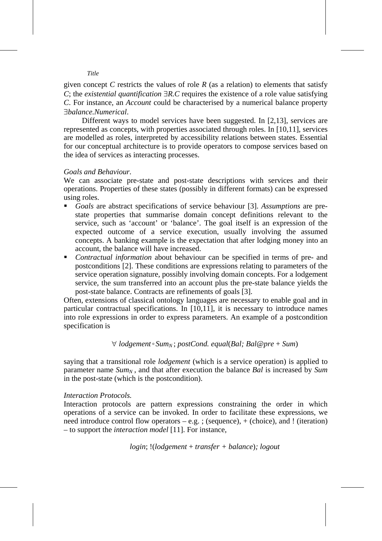given concept *C* restricts the values of role *R* (as a relation) to elements that satisfy *C*; the *existential quantification* ∃*R.C* requires the existence of a role value satisfying *C*. For instance, an *Account* could be characterised by a numerical balance property ∃*balance.Numerical*.

Different ways to model services have been suggested. In [2,13], services are represented as concepts, with properties associated through roles. In [10,11], services are modelled as roles, interpreted by accessibility relations between states. Essential for our conceptual architecture is to provide operators to compose services based on the idea of services as interacting processes.

### *Goals and Behaviour.*

We can associate pre-state and post-state descriptions with services and their operations. Properties of these states (possibly in different formats) can be expressed using roles.

- *Goals* are abstract specifications of service behaviour [3]. *Assumptions* are prestate properties that summarise domain concept definitions relevant to the service, such as 'account' or 'balance'. The goal itself is an expression of the expected outcome of a service execution, usually involving the assumed concepts. A banking example is the expectation that after lodging money into an account, the balance will have increased.
- *Contractual information* about behaviour can be specified in terms of pre- and postconditions [2]. These conditions are expressions relating to parameters of the service operation signature, possibly involving domain concepts. For a lodgement service, the sum transferred into an account plus the pre-state balance yields the post-state balance. Contracts are refinements of goals [3].

Often, extensions of classical ontology languages are necessary to enable goal and in particular contractual specifications. In [10,11], it is necessary to introduce names into role expressions in order to express parameters. An example of a postcondition specification is

## ∀ *lodgement*◦*SumN* ; *postCond. equal*(*Bal; Bal@pre* + *Sum*)

saying that a transitional role *lodgement* (which is a service operation) is applied to parameter name *SumN* , and that after execution the balance *Bal* is increased by *Sum*  in the post-state (which is the postcondition).

### *Interaction Protocols.*

Interaction protocols are pattern expressions constraining the order in which operations of a service can be invoked. In order to facilitate these expressions, we need introduce control flow operators – e.g. ; (sequence),  $+$  (choice), and ! (iteration) – to support the *interaction model* [11]. For instance,

*login*; !(*lodgement* + *transfer + balance*)*; logout*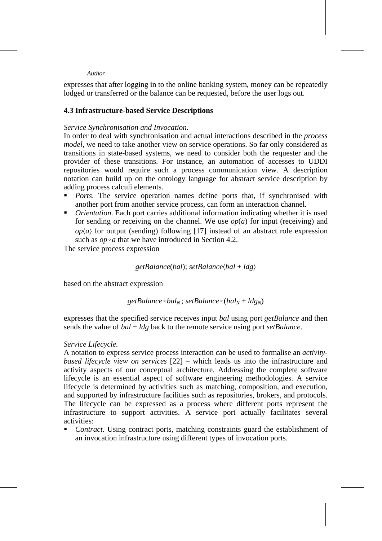expresses that after logging in to the online banking system, money can be repeatedly lodged or transferred or the balance can be requested, before the user logs out.

## **4.3 Infrastructure-based Service Descriptions**

### *Service Synchronisation and Invocation.*

In order to deal with synchronisation and actual interactions described in the *process model*, we need to take another view on service operations. So far only considered as transitions in state-based systems, we need to consider both the requester and the provider of these transitions. For instance, an automation of accesses to UDDI repositories would require such a process communication view. A description notation can build up on the ontology language for abstract service description by adding process calculi elements.

- *Ports*. The service operation names define ports that, if synchronised with another port from another service process, can form an interaction channel.
- *Orientation*. Each port carries additional information indicating whether it is used for sending or receiving on the channel. We use *op*(*a*) for input (receiving) and  $op(a)$  for output (sending) following [17] instead of an abstract role expression such as *op*◦*a* that we have introduced in Section 4.2.

The service process expression

# *getBalance*(*bal*); *setBalance*〈*bal* + *ldg*〉

based on the abstract expression

### $getBalance  $\circ$ *bal<sub>N</sub>*;  $setBalance \circ (bal_N + ldg_N)$$

expresses that the specified service receives input *bal* using port *getBalance* and then sends the value of *bal* + *ldg* back to the remote service using port *setBalance*.

#### *Service Lifecycle.*

A notation to express service process interaction can be used to formalise an *activitybased lifecycle view on services* [22] – which leads us into the infrastructure and activity aspects of our conceptual architecture. Addressing the complete software lifecycle is an essential aspect of software engineering methodologies. A service lifecycle is determined by activities such as matching, composition, and execution, and supported by infrastructure facilities such as repositories, brokers, and protocols. The lifecycle can be expressed as a process where different ports represent the infrastructure to support activities. A service port actually facilitates several activities:

 *Contract*. Using contract ports, matching constraints guard the establishment of an invocation infrastructure using different types of invocation ports.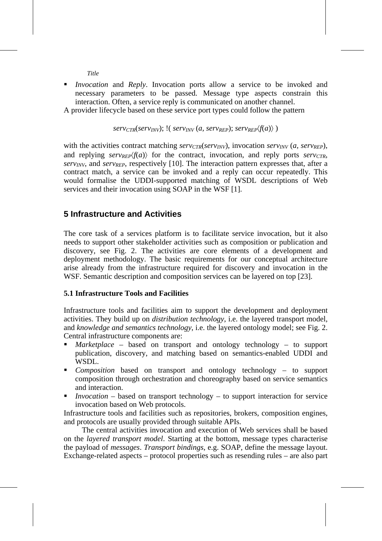*Invocation* and *Reply*. Invocation ports allow a service to be invoked and necessary parameters to be passed. Message type aspects constrain this interaction. Often, a service reply is communicated on another channel.

A provider lifecycle based on these service port types could follow the pattern

# $serv_{CTR}(serv_{INV})$ ; !( $serv_{INV}(a, serv_{REP})$ ;  $serv_{REP}\langle f(a) \rangle$ )

with the activities contract matching  $\text{serv}_{\text{CTR}}(\text{serv}_{\text{INV}})$ , invocation  $\text{serv}_{\text{INV}}(a, \text{serv}_{\text{REP}})$ , and replying  $\text{serv}_{\text{REP}}(f(a))$  for the contract, invocation, and reply ports  $\text{serv}_{\text{CTR}}$ ,  $Serv_{INV}$ , and  $Serv_{REP}$ , respectively [10]. The interaction pattern expresses that, after a contract match, a service can be invoked and a reply can occur repeatedly. This would formalise the UDDI-supported matching of WSDL descriptions of Web services and their invocation using SOAP in the WSF [1].

# **5 Infrastructure and Activities**

The core task of a services platform is to facilitate service invocation, but it also needs to support other stakeholder activities such as composition or publication and discovery, see Fig. 2. The activities are core elements of a development and deployment methodology. The basic requirements for our conceptual architecture arise already from the infrastructure required for discovery and invocation in the WSF. Semantic description and composition services can be layered on top [23].

# **5.1 Infrastructure Tools and Facilities**

Infrastructure tools and facilities aim to support the development and deployment activities. They build up on *distribution technology*, i.e. the layered transport model, and *knowledge and semantics technology*, i.e. the layered ontology model; see Fig. 2. Central infrastructure components are:

- *Marketplace*  based on transport and ontology technology to support publication, discovery, and matching based on semantics-enabled UDDI and WSDL.
- *Composition* based on transport and ontology technology to support composition through orchestration and choreography based on service semantics and interaction.
- *Invocation*  based on transport technology to support interaction for service invocation based on Web protocols.

Infrastructure tools and facilities such as repositories, brokers, composition engines, and protocols are usually provided through suitable APIs.

The central activities invocation and execution of Web services shall be based on the *layered transport model*. Starting at the bottom, message types characterise the payload of *messages*. *Transport bindings*, e.g. SOAP, define the message layout. Exchange-related aspects – protocol properties such as resending rules – are also part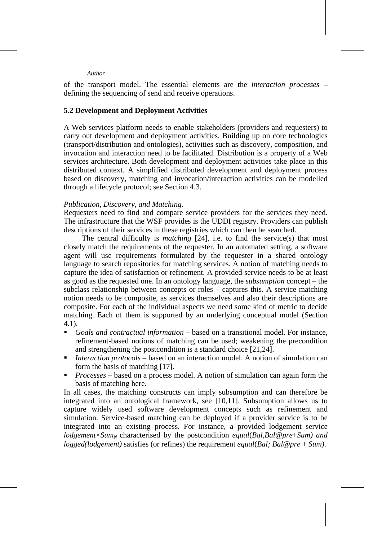of the transport model. The essential elements are the *interaction processes* – defining the sequencing of send and receive operations.

## **5.2 Development and Deployment Activities**

A Web services platform needs to enable stakeholders (providers and requesters) to carry out development and deployment activities. Building up on core technologies (transport/distribution and ontologies), activities such as discovery, composition, and invocation and interaction need to be facilitated. Distribution is a property of a Web services architecture. Both development and deployment activities take place in this distributed context. A simplified distributed development and deployment process based on discovery, matching and invocation/interaction activities can be modelled through a lifecycle protocol; see Section 4.3.

### *Publication, Discovery, and Matching.*

Requesters need to find and compare service providers for the services they need. The infrastructure that the WSF provides is the UDDI registry. Providers can publish descriptions of their services in these registries which can then be searched.

The central difficulty is *matching* [24], i.e. to find the service(s) that most closely match the requirements of the requester. In an automated setting, a software agent will use requirements formulated by the requester in a shared ontology language to search repositories for matching services. A notion of matching needs to capture the idea of satisfaction or refinement. A provided service needs to be at least as good as the requested one. In an ontology language, the *subsumption* concept – the subclass relationship between concepts or roles – captures this. A service matching notion needs to be composite, as services themselves and also their descriptions are composite. For each of the individual aspects we need some kind of metric to decide matching. Each of them is supported by an underlying conceptual model (Section 4.1).

- *Goals and contractual information*  based on a transitional model. For instance, refinement-based notions of matching can be used; weakening the precondition and strengthening the postcondition is a standard choice [21,24].
- *Interaction protocols* based on an interaction model. A notion of simulation can form the basis of matching [17].
- *Processes*  based on a process model. A notion of simulation can again form the basis of matching here.

In all cases, the matching constructs can imply subsumption and can therefore be integrated into an ontological framework, see [10,11]. Subsumption allows us to capture widely used software development concepts such as refinement and simulation. Service-based matching can be deployed if a provider service is to be integrated into an existing process. For instance, a provided lodgement service *lodgement*◦*Sum<sub>N</sub>* characterised by the postcondition *equal*(*Bal,Bal@pre+Sum)* and *logged(lodgement)* satisfies (or refines) the requirement *equal*(*Bal; Bal@pre* + *Sum)*.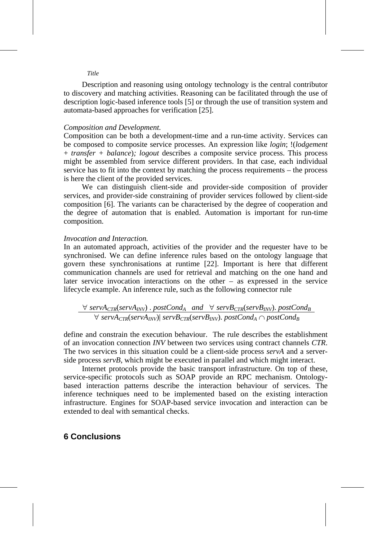Description and reasoning using ontology technology is the central contributor to discovery and matching activities. Reasoning can be facilitated through the use of description logic-based inference tools [5] or through the use of transition system and automata-based approaches for verification [25].

#### *Composition and Development.*

Composition can be both a development-time and a run-time activity. Services can be composed to composite service processes. An expression like *login*; !(*lodgement*  + *transfer + balance*)*; logout* describes a composite service process. This process might be assembled from service different providers. In that case, each individual service has to fit into the context by matching the process requirements – the process is here the client of the provided services.

We can distinguish client-side and provider-side composition of provider services, and provider-side constraining of provider services followed by client-side composition [6]. The variants can be characterised by the degree of cooperation and the degree of automation that is enabled. Automation is important for run-time composition.

## *Invocation and Interaction.*

In an automated approach, activities of the provider and the requester have to be synchronised. We can define inference rules based on the ontology language that govern these synchronisations at runtime [22]. Important is here that different communication channels are used for retrieval and matching on the one hand and later service invocation interactions on the other – as expressed in the service lifecycle example. An inference rule, such as the following connector rule

 $\forall$  *servA<sub>CTR</sub>*(*servA<sub>INV</sub>*). *postCond<sub>A</sub> and*  $\forall$  *servB<sub>CTR</sub>*(*servB<sub>INV</sub>*). *postCond<sub>B</sub>*  $\forall$  *servA<sub>CTR</sub>*(*servA<sub>INV</sub>*)| *servB<sub>CTR</sub>*(*servB<sub>INV</sub>*). *postCond<sub>A</sub>*  $\cap$  *postCond<sub>B</sub>* 

define and constrain the execution behaviour. The rule describes the establishment of an invocation connection *INV* between two services using contract channels *CTR*. The two services in this situation could be a client-side process *servA* and a serverside process *servB*, which might be executed in parallel and which might interact.

Internet protocols provide the basic transport infrastructure. On top of these, service-specific protocols such as SOAP provide an RPC mechanism. Ontologybased interaction patterns describe the interaction behaviour of services. The inference techniques need to be implemented based on the existing interaction infrastructure. Engines for SOAP-based service invocation and interaction can be extended to deal with semantical checks.

# **6 Conclusions**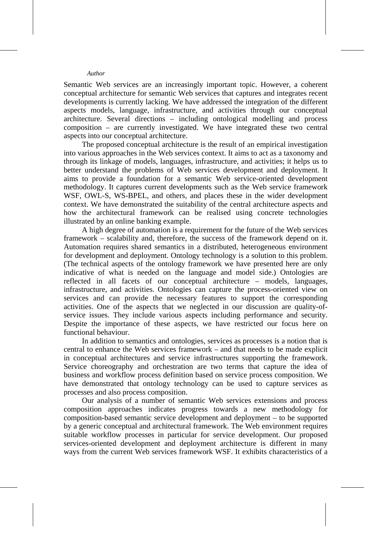Semantic Web services are an increasingly important topic. However, a coherent conceptual architecture for semantic Web services that captures and integrates recent developments is currently lacking. We have addressed the integration of the different aspects models, language, infrastructure, and activities through our conceptual architecture. Several directions – including ontological modelling and process composition – are currently investigated. We have integrated these two central aspects into our conceptual architecture.

The proposed conceptual architecture is the result of an empirical investigation into various approaches in the Web services context. It aims to act as a taxonomy and through its linkage of models, languages, infrastructure, and activities; it helps us to better understand the problems of Web services development and deployment. It aims to provide a foundation for a semantic Web service-oriented development methodology. It captures current developments such as the Web service framework WSF, OWL-S, WS-BPEL, and others, and places these in the wider development context. We have demonstrated the suitability of the central architecture aspects and how the architectural framework can be realised using concrete technologies illustrated by an online banking example.

A high degree of automation is a requirement for the future of the Web services framework – scalability and, therefore, the success of the framework depend on it. Automation requires shared semantics in a distributed, heterogeneous environment for development and deployment. Ontology technology is a solution to this problem. (The technical aspects of the ontology framework we have presented here are only indicative of what is needed on the language and model side.) Ontologies are reflected in all facets of our conceptual architecture – models, languages, infrastructure, and activities. Ontologies can capture the process-oriented view on services and can provide the necessary features to support the corresponding activities. One of the aspects that we neglected in our discussion are quality-ofservice issues. They include various aspects including performance and security. Despite the importance of these aspects, we have restricted our focus here on functional behaviour.

In addition to semantics and ontologies, services as processes is a notion that is central to enhance the Web services framework – and that needs to be made explicit in conceptual architectures and service infrastructures supporting the framework. Service choreography and orchestration are two terms that capture the idea of business and workflow process definition based on service process composition. We have demonstrated that ontology technology can be used to capture services as processes and also process composition.

Our analysis of a number of semantic Web services extensions and process composition approaches indicates progress towards a new methodology for composition-based semantic service development and deployment – to be supported by a generic conceptual and architectural framework. The Web environment requires suitable workflow processes in particular for service development. Our proposed services-oriented development and deployment architecture is different in many ways from the current Web services framework WSF. It exhibits characteristics of a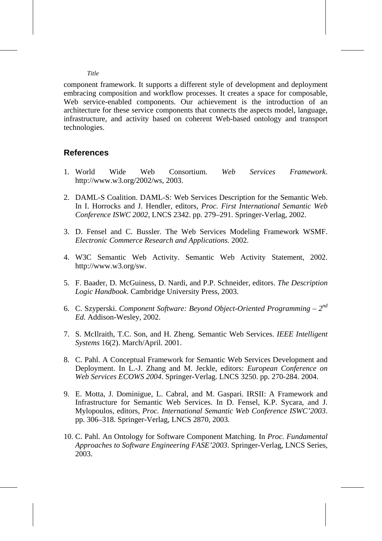component framework. It supports a different style of development and deployment embracing composition and workflow processes. It creates a space for composable, Web service-enabled components. Our achievement is the introduction of an architecture for these service components that connects the aspects model, language, infrastructure, and activity based on coherent Web-based ontology and transport technologies.

# **References**

- 1. World Wide Web Consortium. *Web Services Framework*. http://www.w3.org/2002/ws, 2003.
- 2. DAML-S Coalition. DAML-S: Web Services Description for the Semantic Web. In I. Horrocks and J. Hendler, editors, *Proc. First International Semantic Web Conference ISWC 2002*, LNCS 2342. pp. 279–291. Springer-Verlag, 2002.
- 3. D. Fensel and C. Bussler. The Web Services Modeling Framework WSMF. *Electronic Commerce Research and Applications*. 2002.
- 4. W3C Semantic Web Activity. Semantic Web Activity Statement, 2002. http://www.w3.org/sw.
- 5. F. Baader, D. McGuiness, D. Nardi, and P.P. Schneider, editors. *The Description Logic Handbook*. Cambridge University Press, 2003.
- 6. C. Szyperski. *Component Software: Beyond Object-Oriented Programming 2nd Ed.* Addison-Wesley, 2002.
- 7. S. McIlraith, T.C. Son, and H. Zheng. Semantic Web Services. *IEEE Intelligent Systems* 16(2). March/April. 2001.
- 8. C. Pahl. A Conceptual Framework for Semantic Web Services Development and Deployment. In L.-J. Zhang and M. Jeckle, editors: *European Conference on Web Services ECOWS 2004*. Springer-Verlag. LNCS 3250. pp. 270-284. 2004.
- 9. E. Motta, J. Dominigue, L. Cabral, and M. Gaspari. IRSII: A Framework and Infrastructure for Semantic Web Services. In D. Fensel, K.P. Sycara, and J. Mylopoulos, editors, *Proc. International Semantic Web Conference ISWC'2003*. pp. 306–318. Springer-Verlag, LNCS 2870, 2003.
- 10. C. Pahl. An Ontology for Software Component Matching. In *Proc. Fundamental Approaches to Software Engineering FASE'2003*. Springer-Verlag, LNCS Series, 2003.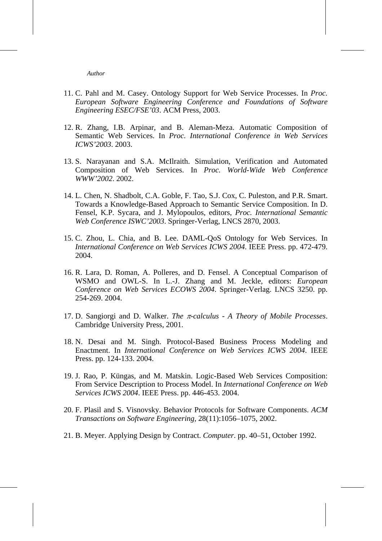- 11. C. Pahl and M. Casey. Ontology Support for Web Service Processes. In *Proc. European Software Engineering Conference and Foundations of Software Engineering ESEC/FSE'03*. ACM Press, 2003.
- 12. R. Zhang, I.B. Arpinar, and B. Aleman-Meza. Automatic Composition of Semantic Web Services. In *Proc. International Conference in Web Services ICWS'2003*. 2003.
- 13. S. Narayanan and S.A. McIlraith. Simulation, Verification and Automated Composition of Web Services. In *Proc. World-Wide Web Conference WWW'2002*. 2002.
- 14. L. Chen, N. Shadbolt, C.A. Goble, F. Tao, S.J. Cox, C. Puleston, and P.R. Smart. Towards a Knowledge-Based Approach to Semantic Service Composition. In D. Fensel, K.P. Sycara, and J. Mylopoulos, editors, *Proc. International Semantic Web Conference ISWC'2003*. Springer-Verlag, LNCS 2870, 2003.
- 15. C. Zhou, L. Chia, and B. Lee. DAML-QoS Ontology for Web Services. In *International Conference on Web Services ICWS 2004*. IEEE Press. pp. 472-479. 2004.
- 16. R. Lara, D. Roman, A. Polleres, and D. Fensel. A Conceptual Comparison of WSMO and OWL-S. In L.-J. Zhang and M. Jeckle, editors: *European Conference on Web Services ECOWS 2004*. Springer-Verlag. LNCS 3250. pp. 254-269. 2004.
- 17. D. Sangiorgi and D. Walker. *The* π*-calculus A Theory of Mobile Processes*. Cambridge University Press, 2001.
- 18. N. Desai and M. Singh. Protocol-Based Business Process Modeling and Enactment. In *International Conference on Web Services ICWS 2004*. IEEE Press. pp. 124-133. 2004.
- 19. J. Rao, P. Küngas, and M. Matskin. Logic-Based Web Services Composition: From Service Description to Process Model. In *International Conference on Web Services ICWS 2004*. IEEE Press. pp. 446-453. 2004.
- 20. F. Plasil and S. Visnovsky. Behavior Protocols for Software Components. *ACM Transactions on Software Engineering*, 28(11):1056–1075, 2002.
- 21. B. Meyer. Applying Design by Contract. *Computer*. pp. 40–51, October 1992.